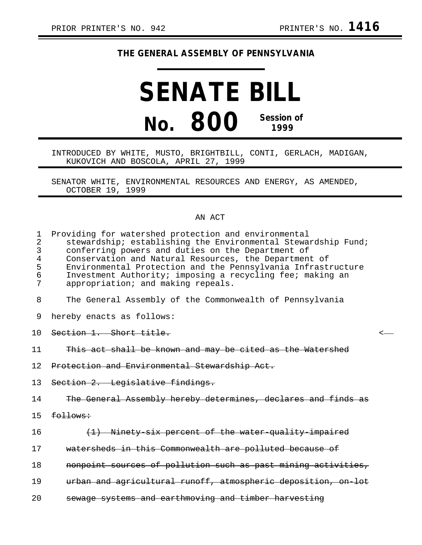## **THE GENERAL ASSEMBLY OF PENNSYLVANIA**

## **SENATE BILL No. 800 Session of 1999**

## INTRODUCED BY WHITE, MUSTO, BRIGHTBILL, CONTI, GERLACH, MADIGAN, KUKOVICH AND BOSCOLA, APRIL 27, 1999

SENATOR WHITE, ENVIRONMENTAL RESOURCES AND ENERGY, AS AMENDED, OCTOBER 19, 1999

## AN ACT

| $\mathbf 1$<br>$\overline{2}$<br>3<br>$\overline{4}$<br>5<br>6<br>7 | Providing for watershed protection and environmental<br>stewardship; establishing the Environmental Stewardship Fund;<br>conferring powers and duties on the Department of<br>Conservation and Natural Resources, the Department of<br>Environmental Protection and the Pennsylvania Infrastructure<br>Investment Authority; imposing a recycling fee; making an<br>appropriation; and making repeals. |  |
|---------------------------------------------------------------------|--------------------------------------------------------------------------------------------------------------------------------------------------------------------------------------------------------------------------------------------------------------------------------------------------------------------------------------------------------------------------------------------------------|--|
| 8                                                                   | The General Assembly of the Commonwealth of Pennsylvania                                                                                                                                                                                                                                                                                                                                               |  |
| 9                                                                   | hereby enacts as follows:                                                                                                                                                                                                                                                                                                                                                                              |  |
| 1 O                                                                 | Section 1. Short title.                                                                                                                                                                                                                                                                                                                                                                                |  |
| 11                                                                  | This act shall be known and may be cited as the Watershed                                                                                                                                                                                                                                                                                                                                              |  |
| 12.                                                                 | Protection and Environmental Stewardship Act.                                                                                                                                                                                                                                                                                                                                                          |  |
| 13                                                                  | Section 2. Legislative findings.                                                                                                                                                                                                                                                                                                                                                                       |  |
| 14                                                                  | The General Assembly hereby determines, declares and finds as                                                                                                                                                                                                                                                                                                                                          |  |
| 15                                                                  | follows:                                                                                                                                                                                                                                                                                                                                                                                               |  |
| 16                                                                  | (1) Ninety six percent of the water quality impaired                                                                                                                                                                                                                                                                                                                                                   |  |
| 17                                                                  | watersheds in this Commonwealth are polluted because of                                                                                                                                                                                                                                                                                                                                                |  |
| 18                                                                  | nonpoint sources of pollution such as past mining activities,                                                                                                                                                                                                                                                                                                                                          |  |
| 19                                                                  | urban and agricultural runoff, atmospheric deposition, on lot                                                                                                                                                                                                                                                                                                                                          |  |
| 20                                                                  | sewage systems and earthmoving and timber harvesting                                                                                                                                                                                                                                                                                                                                                   |  |
|                                                                     |                                                                                                                                                                                                                                                                                                                                                                                                        |  |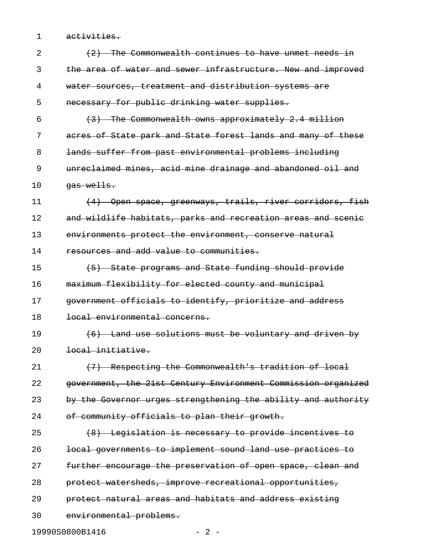1 activities.

| $\overline{2}$ | (2) The Commonwealth continues to have unmet needs in         |
|----------------|---------------------------------------------------------------|
| 3              | the area of water and sewer infrastructure. New and improved  |
| 4              | water sources, treatment and distribution systems are         |
| 5              | necessary for public drinking water supplies.                 |
| 6              | (3) The Commonwealth owns approximately 2.4 million           |
| 7              | acres of State park and State forest lands and many of these  |
| 8              | lands suffer from past environmental problems including       |
| 9              | unreclaimed mines, acid mine drainage and abandoned oil and   |
| 10             | gas wells.                                                    |
| 11             | (4) Open space, greenways, trails, river corridors, fish      |
| 12             | and wildlife habitats, parks and recreation areas and scenic  |
| 13             | environments protect the environment, conserve natural        |
| 14             | resources and add value to communities.                       |
| 15             | (5) State programs and State funding should provide           |
| 16             | maximum flexibility for elected county and municipal          |
| 17             | government officials to identify, prioritize and address      |
| 18             | local environmental concerns.                                 |
| 19             | (6) Land use solutions must be voluntary and driven by        |
| 20             | <del>local initiative.</del>                                  |
| 21             | (7) Respecting the Commonwealth's tradition of local          |
| 22             | government, the 21st Century Environment Commission organized |
| 23             | by the Governor urges strengthening the ability and authority |
| 24             | of community officials to plan their growth.                  |
| 25             | (8) Legislation is necessary to provide incentives to         |
| 26             | local governments to implement sound land use practices to    |
| 27             | further encourage the preservation of open space, clean and   |
| 28             | protect watersheds, improve recreational opportunities,       |
| 29             | protect natural areas and habitats and address existing       |
| 30             | environmental problems.                                       |
|                | 19990S0800B1416<br>$-2-$                                      |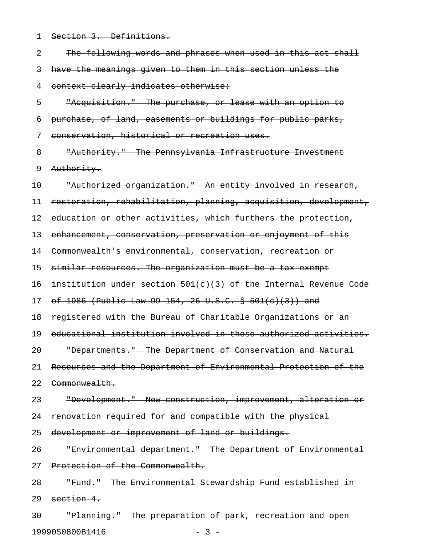1 Section 3. Definitions.

| 2  | The following words and phrases when used in this act shall      |
|----|------------------------------------------------------------------|
| 3  | have the meanings given to them in this section unless the       |
| 4  | context clearly indicates otherwise:                             |
| 5  | "Acquisition." The purchase, or lease with an option to          |
| 6  | purchase, of land, easements or buildings for public parks,      |
| 7  | conservation, historical or recreation uses.                     |
| 8  | "Authority." The Pennsylvania Infrastructure Investment          |
| 9  | Authority.                                                       |
| 10 | "Authorized organization." An entity involved in research,       |
| 11 | restoration, rehabilitation, planning, acquisition, development, |
| 12 | education or other activities, which furthers the protection,    |
| 13 | enhancement, conservation, preservation or enjoyment of this     |
| 14 | Commonwealth's environmental, conservation, recreation or        |
| 15 | similar resources. The organization must be a tax exempt         |
| 16 | institution under section 501(c)(3) of the Internal Revenue Code |
| 17 | of 1986 (Public Law 99 154, 26 U.S.C. § 501(c)(3)) and           |
| 18 | registered with the Bureau of Charitable Organizations or an     |
| 19 | educational institution involved in these authorized activities. |
| 20 | "Departments." The Department of Conservation and Natural        |
| 21 | Resources and the Department of Environmental Protection of the  |
| 22 | Commonwealth.                                                    |
| 23 | "Development." New construction, improvement, alteration or      |
| 24 | renovation required for and compatible with the physical         |
| 25 | development or improvement of land or buildings.                 |
| 26 | "Environmental department." The Department of Environmental      |
| 27 | Protection of the Commonwealth.                                  |
| 28 | "Fund." The Environmental Stewardship Fund established in        |
| 29 | section 4.                                                       |
| 30 | "Planning." The preparation of park, recreation and open         |

19990S0800B1416 - 3 -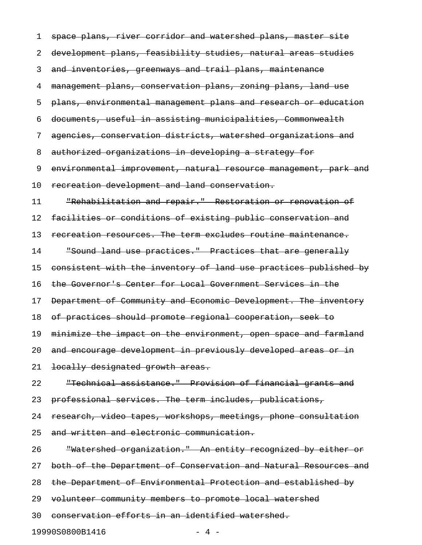1 space plans, river corridor and watershed plans, master site 2 development plans, feasibility studies, natural areas studies 3 and inventories, greenways and trail plans, maintenance 4 management plans, conservation plans, zoning plans, land use 5 plans, environmental management plans and research or education 6 documents, useful in assisting municipalities, Commonwealth 7 agencies, conservation districts, watershed organizations and 8 authorized organizations in developing a strategy for 9 environmental improvement, natural resource management, park and 10 recreation development and land conservation. 11 "Rehabilitation and repair." Restoration or renovation of 12 facilities or conditions of existing public conservation and 13 recreation resources. The term excludes routine maintenance. 14 "Sound land use practices." Practices that are generally 15 consistent with the inventory of land use practices published by 16 the Governor's Center for Local Government Services in the 17 Department of Community and Economic Development. The inventory 18 of practices should promote regional cooperation, seek to 19 minimize the impact on the environment, open space and farmland 20 and encourage development in previously developed areas or in 21 locally designated growth areas. 22 "Technical assistance." Provision of financial grants and 23 professional services. The term includes, publications, 24 research, video tapes, workshops, meetings, phone consultation 25 and written and electronic communication. 26 Thatershed organization." An entity recognized by either or 27 both of the Department of Conservation and Natural Resources and 28 the Department of Environmental Protection and established by 29 volunteer community members to promote local watershed 30 conservation efforts in an identified watershed. 19990S0800B1416 - 4 -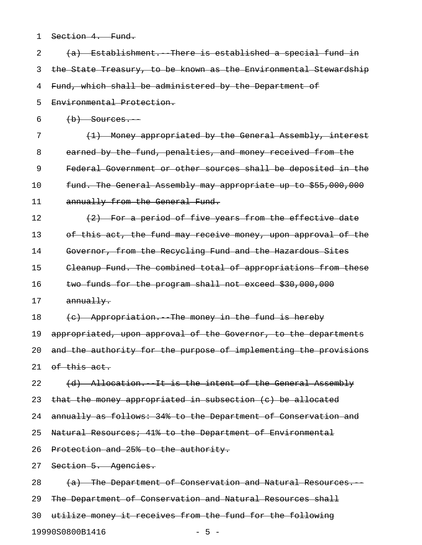| 1  | Section 4. Fund.                                                 |
|----|------------------------------------------------------------------|
| 2  | (a) Establishment. There is established a special fund in        |
| 3  | the State Treasury, to be known as the Environmental Stewardship |
| 4  | Fund, which shall be administered by the Department of           |
| 5  | Environmental Protection.                                        |
| 6  | $(b)$ Sources.                                                   |
| 7  | (1) Money appropriated by the General Assembly, interest         |
| 8  | earned by the fund, penalties, and money received from the       |
| 9  | Federal Government or other sources shall be deposited in the    |
| 10 | fund. The General Assembly may appropriate up to \$55,000,000    |
| 11 | annually from the General Fund.                                  |
| 12 | (2) For a period of five years from the effective date           |
| 13 | of this act, the fund may receive money, upon approval of the    |
| 14 | Governor, from the Recycling Fund and the Hazardous Sites        |
| 15 | Cleanup Fund. The combined total of appropriations from these    |
| 16 | two funds for the program shall not exceed \$30,000,000          |
| 17 | annually.                                                        |
| 18 | (c) Appropriation. The money in the fund is hereby               |
| 19 | appropriated, upon approval of the Governor, to the departments  |
| 20 | and the authority for the purpose of implementing the provisions |
| 21 | of this act.                                                     |
| 22 | (d) Allocation. It is the intent of the General Assembly         |
| 23 | that the money appropriated in subsection (c) be allocated       |
| 24 | annually as follows: 34% to the Department of Conservation and   |
| 25 | Natural Resources; 41% to the Department of Environmental        |
| 26 | Protection and 25% to the authority.                             |
| 27 | Section 5. Agencies.                                             |
| 28 | (a) The Department of Conservation and Natural Resources.        |
| 29 | The Department of Conservation and Natural Resources shall       |
| 30 | utilize money it receives from the fund for the following        |

19990S0800B1416 - 5 -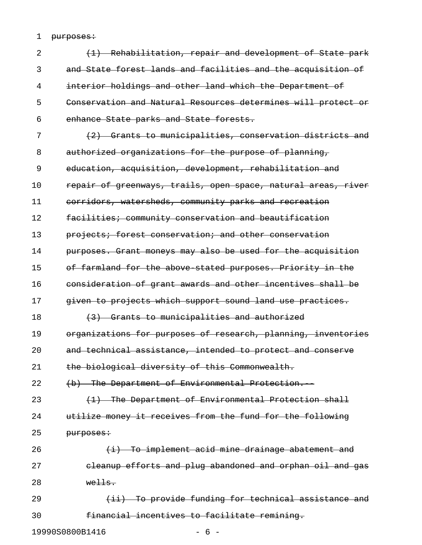1 purposes:

| 2  | (1) Rehabilitation, repair and development of State park      |
|----|---------------------------------------------------------------|
| 3  | and State forest lands and facilities and the acquisition of  |
| 4  | interior holdings and other land which the Department of      |
| 5  | Conservation and Natural Resources determines will protect or |
| 6  | enhance State parks and State forests.                        |
| 7  | (2) Grants to municipalities, conservation districts and      |
| 8  | authorized organizations for the purpose of planning,         |
| 9  | education, acquisition, development, rehabilitation and       |
| 10 | repair of greenways, trails, open space, natural areas, river |
| 11 | corridors, watersheds, community parks and recreation         |
| 12 | facilities; community conservation and beautification         |
| 13 | projects; forest conservation; and other conservation         |
| 14 | purposes. Grant moneys may also be used for the acquisition   |
| 15 | of farmland for the above stated purposes. Priority in the    |
| 16 | consideration of grant awards and other incentives shall be   |
| 17 | given to projects which support sound land use practices.     |
| 18 | (3) Grants to municipalities and authorized                   |
| 19 | organizations for purposes of research, planning, inventories |
| 20 | and technical assistance, intended to protect and conserve    |
| 21 | the biological diversity of this Commonwealth.                |
| 22 | (b) The Department of Environmental Protection.               |
| 23 | (1) The Department of Environmental Protection shall          |
| 24 | utilize money it receives from the fund for the following     |
| 25 | purposes:                                                     |
| 26 | $(i)$ To implement acid mine drainage abatement and           |
| 27 | eleanup efforts and plug abandoned and orphan oil and gas     |
| 28 | $w$ ells.                                                     |
| 29 | (ii) To provide funding for technical assistance and          |
| 30 | financial incentives to facilitate remining.                  |
|    | 19990S0800B1416<br>$-6-$                                      |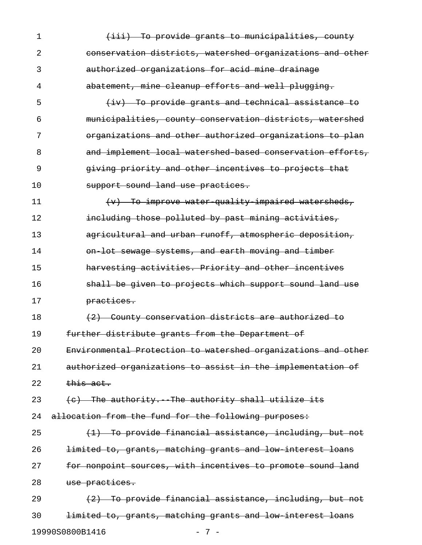1 (iii) To provide grants to municipalities, county 2 conservation districts, watershed organizations and other 3 authorized organizations for acid mine drainage 4 abatement, mine cleanup efforts and well plugging. 5 (iv) To provide grants and technical assistance to 6 municipalities, county conservation districts, watershed 7 organizations and other authorized organizations to plan 8 and implement local watershed based conservation efforts, 9 giving priority and other incentives to projects that 10 support sound land use practices. 11 (v) To improve water-quality-impaired watersheds, 12 **including those polluted by past mining activities,** 13 agricultural and urban runoff, atmospheric deposition, 14 **on-lot sewage systems, and earth moving and timber** 15 **harvesting activities. Priority and other incentives** 16 **shall be given to projects which support sound land use** 17 **practices.** 18  $(2)$  County conservation districts are authorized to 19 further distribute grants from the Department of 20 Environmental Protection to watershed organizations and other 21 authorized organizations to assist in the implementation of  $22$  this act. 23  $\left\{ \left( e\right) \right\}$  The authority. The authority shall utilize its 24 allocation from the fund for the following purposes:  $25$  (1) To provide financial assistance, including, but not 26 **limited to, grants, matching grants and low interest loans** 27 for nonpoint sources, with incentives to promote sound land 28 use practices. 29  $(2)$  To provide financial assistance, including, but not 30 **limited to, grants, matching grants and low interest loans** 

19990S0800B1416 - 7 -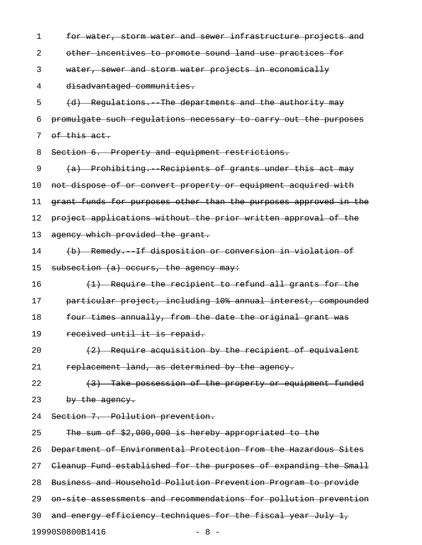1 for water, storm water and sewer infrastructure projects and 2 other incentives to promote sound land use practices for 3 water, sewer and storm water projects in economically 4 disadvantaged communities. 5 (d) Regulations. The departments and the authority may 6 promulgate such regulations necessary to carry out the purposes 7 of this act. 8 Section 6. Property and equipment restrictions. 9 (a) Prohibiting. Recipients of grants under this act may 10 not dispose of or convert property or equipment acquired with 11 grant funds for purposes other than the purposes approved in the 12 project applications without the prior written approval of the 13 agency which provided the grant. 14 (b) Remedy.--If disposition or conversion in violation of 15 subsection  $(a)$  occurs, the agency may: 16  $(1)$  Require the recipient to refund all grants for the 17 particular project, including 10% annual interest, compounded 18 four times annually, from the date the original grant was 19 received until it is repaid. 20  $(2)$  Require acquisition by the recipient of equivalent 21 replacement land, as determined by the agency. 22  $(3)$  Take possession of the property or equipment funded 23 by the agency. 24 Section 7. Pollution prevention. 25 The sum of \$2,000,000 is hereby appropriated to the 26 Department of Environmental Protection from the Hazardous Sites 27 Cleanup Fund established for the purposes of expanding the Small

28 Business and Household Pollution Prevention Program to provide

29 on-site assessments and recommendations for pollution prevention

30 and energy efficiency techniques for the fiscal year July 1,

19990S0800B1416 - 8 -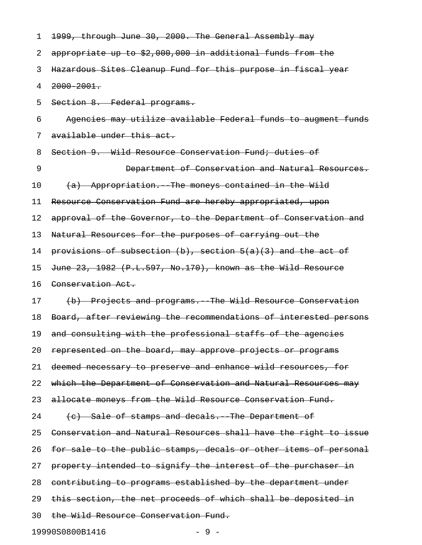| 1  | 1999, through June 30, 2000. The General Assembly may             |
|----|-------------------------------------------------------------------|
| 2  | appropriate up to \$2,000,000 in additional funds from the        |
| 3  | Hazardous Sites Cleanup Fund for this purpose in fiscal year      |
| 4  | $2000 - 2001$ .                                                   |
| 5  | Section 8. Federal programs.                                      |
| 6  | Agencies may utilize available Federal funds to augment funds     |
| 7  | available under this act.                                         |
| 8  | Section 9. Wild Resource Conservation Fund; duties of             |
| 9  | Department of Conservation and Natural Resources.                 |
| 10 | (a) Appropriation. The moneys contained in the Wild               |
| 11 | Resource Conservation Fund are hereby appropriated, upon          |
| 12 | approval of the Governor, to the Department of Conservation and   |
| 13 | Natural Resources for the purposes of carrying out the            |
| 14 | provisions of subsection $(b)$ , section $5(a)(3)$ and the act of |
| 15 | June 23, 1982 (P.L.597, No.170), known as the Wild Resource       |
| 16 | Conservation Act.                                                 |
| 17 | (b) Projects and programs. The Wild Resource Conservation         |
| 18 | Board, after reviewing the recommendations of interested persons  |
| 19 | and consulting with the professional staffs of the agencies       |
| 20 | represented on the board, may approve projects or programs        |
| 21 | deemed necessary to preserve and enhance wild resources, for      |
| 22 | which the Department of Conservation and Natural Resources may    |
| 23 | allocate moneys from the Wild Resource Conservation Fund.         |
| 24 | (e) Sale of stamps and decals. The Department of                  |
| 25 | Conservation and Natural Resources shall have the right to issue  |
| 26 | for sale to the public stamps, decals or other items of personal  |
| 27 | property intended to signify the interest of the purchaser in     |
| 28 | contributing to programs established by the department under      |
| 29 | this section, the net proceeds of which shall be deposited in     |
| 30 | the Wild Resource Conservation Fund.                              |
|    | 19990S0800B1416<br>$-9-$                                          |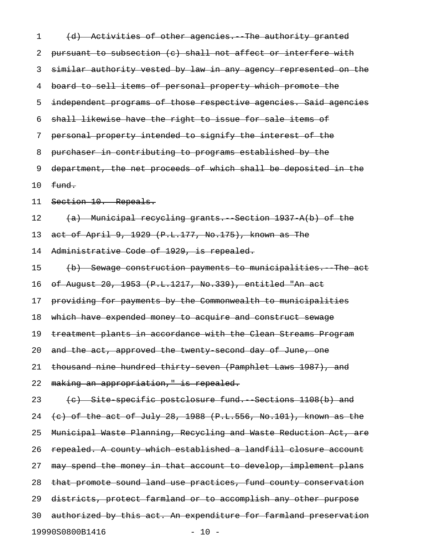| 1  | (d) Activities of other agencies. The authority granted           |
|----|-------------------------------------------------------------------|
| 2  | pursuant to subsection (c) shall not affect or interfere with     |
| 3  | similar authority vested by law in any agency represented on the  |
| 4  | board to sell items of personal property which promote the        |
| 5  | independent programs of those respective agencies. Said agencies  |
| 6  | shall likewise have the right to issue for sale items of          |
| 7  | personal property intended to signify the interest of the         |
| 8  | purchaser in contributing to programs established by the          |
| 9  | department, the net proceeds of which shall be deposited in the   |
| 10 | fund.                                                             |
| 11 | Section 10. Repeals.                                              |
| 12 | (a) Municipal recycling grants. Section 1937 A(b) of the          |
| 13 | act of April 9, 1929 (P.L.177, No.175), known as The              |
| 14 | Administrative Code of 1929, is repealed.                         |
| 15 | (b) Sewage construction payments to municipalities. The act       |
| 16 | of August 20, 1953 (P.L.1217, No.339), entitled "An act           |
| 17 | providing for payments by the Commonwealth to municipalities      |
| 18 | which have expended money to acquire and construct sewage         |
| 19 | treatment plants in accordance with the Clean Streams Program     |
| 20 | and the act, approved the twenty second day of June, one          |
| 21 | thousand nine hundred thirty seven (Pamphlet Laws 1987), and      |
| 22 | making an appropriation," is repealed.                            |
| 23 | (c) Site specific postclosure fund. Sections 1108(b) and          |
| 24 | $(e)$ of the act of July 28, 1988 (P.L.556, No.101), known as the |
| 25 | Municipal Waste Planning, Recycling and Waste Reduction Act, are  |
| 26 | repealed. A county which established a landfill closure account   |
| 27 | may spend the money in that account to develop, implement plans   |
| 28 | that promote sound land use practices, fund county conservation   |
| 29 | districts, protect farmland or to accomplish any other purpose    |
| 30 | authorized by this act. An expenditure for farmland preservation  |
|    | 19990S0800B1416<br>$-10 -$                                        |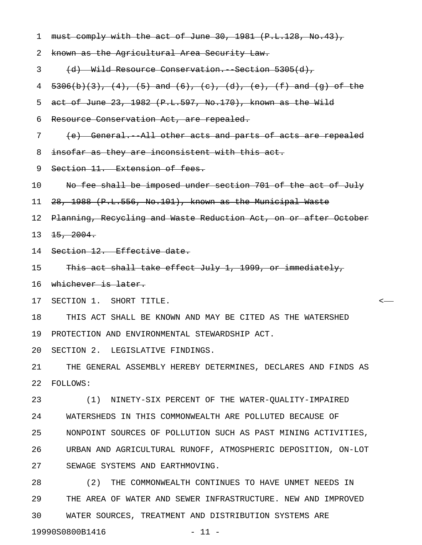| $\mathbf 1$ | must comply with the act of June 30, 1981 (P.L.128, No.43),        |
|-------------|--------------------------------------------------------------------|
| 2           | known as the Agricultural Area Security Law.                       |
| 3           | (d) Wild Resource Conservation. Section 5305(d),                   |
| 4           | $5306(b)(3)$ , (4), (5) and (6), (c), (d), (e), (f) and (g) of the |
| 5           | act of June 23, 1982 (P.L.597, No.170), known as the Wild          |
| 6           | Resource Conservation Act, are repealed.                           |
| 7           | (e) General. All other acts and parts of acts are repealed         |
| 8           | insofar as they are inconsistent with this act.                    |
| 9           | Section 11. Extension of fees.                                     |
| 10          | No fee shall be imposed under section 701 of the act of July       |
| 11          | 28, 1988 (P.L.556, No.101), known as the Municipal Waste           |
| 12          | Planning, Recycling and Waste Reduction Act, on or after October   |
| 13          | 15, 2004.                                                          |
| 14          | Section 12. Effective date.                                        |
| 15          | This act shall take effect July 1, 1999, or immediately,           |
| 16          | whichever is later.                                                |
| 17          | SECTION 1. SHORT TITLE.                                            |
| 18          | THIS ACT SHALL BE KNOWN AND MAY BE CITED AS THE WATERSHED          |
| 19          | PROTECTION AND ENVIRONMENTAL STEWARDSHIP ACT.                      |
| 20          | SECTION 2. LEGISLATIVE FINDINGS.                                   |
| 21          | THE GENERAL ASSEMBLY HEREBY DETERMINES, DECLARES AND FINDS AS      |
| 22          | <b>FOLLOWS:</b>                                                    |
| 23          | (1) NINETY-SIX PERCENT OF THE WATER-QUALITY-IMPAIRED               |
| 24          | WATERSHEDS IN THIS COMMONWEALTH ARE POLLUTED BECAUSE OF            |
| 25          | NONPOINT SOURCES OF POLLUTION SUCH AS PAST MINING ACTIVITIES,      |
| 26          | URBAN AND AGRICULTURAL RUNOFF, ATMOSPHERIC DEPOSITION, ON-LOT      |
| 27          | SEWAGE SYSTEMS AND EARTHMOVING.                                    |
| 28          | (2) THE COMMONWEALTH CONTINUES TO HAVE UNMET NEEDS IN              |
| 29          | THE AREA OF WATER AND SEWER INFRASTRUCTURE. NEW AND IMPROVED       |

30 WATER SOURCES, TREATMENT AND DISTRIBUTION SYSTEMS ARE

19990S0800B1416 - 11 -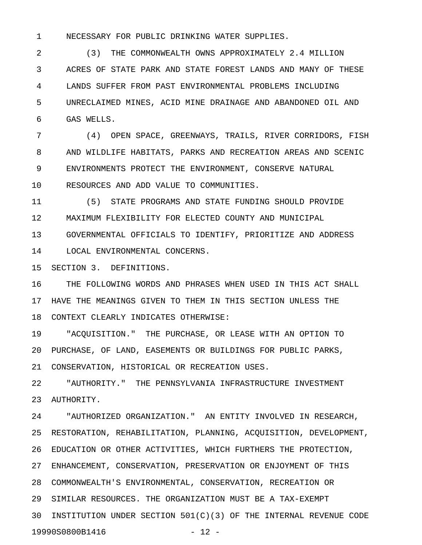1 NECESSARY FOR PUBLIC DRINKING WATER SUPPLIES.

2 (3) THE COMMONWEALTH OWNS APPROXIMATELY 2.4 MILLION 3 ACRES OF STATE PARK AND STATE FOREST LANDS AND MANY OF THESE 4 LANDS SUFFER FROM PAST ENVIRONMENTAL PROBLEMS INCLUDING 5 UNRECLAIMED MINES, ACID MINE DRAINAGE AND ABANDONED OIL AND 6 GAS WELLS.

7 (4) OPEN SPACE, GREENWAYS, TRAILS, RIVER CORRIDORS, FISH 8 AND WILDLIFE HABITATS, PARKS AND RECREATION AREAS AND SCENIC 9 ENVIRONMENTS PROTECT THE ENVIRONMENT, CONSERVE NATURAL 10 RESOURCES AND ADD VALUE TO COMMUNITIES.

11 (5) STATE PROGRAMS AND STATE FUNDING SHOULD PROVIDE 12 MAXIMUM FLEXIBILITY FOR ELECTED COUNTY AND MUNICIPAL

13 GOVERNMENTAL OFFICIALS TO IDENTIFY, PRIORITIZE AND ADDRESS

14 LOCAL ENVIRONMENTAL CONCERNS.

15 SECTION 3. DEFINITIONS.

16 THE FOLLOWING WORDS AND PHRASES WHEN USED IN THIS ACT SHALL 17 HAVE THE MEANINGS GIVEN TO THEM IN THIS SECTION UNLESS THE 18 CONTEXT CLEARLY INDICATES OTHERWISE:

19 "ACQUISITION." THE PURCHASE, OR LEASE WITH AN OPTION TO 20 PURCHASE, OF LAND, EASEMENTS OR BUILDINGS FOR PUBLIC PARKS, 21 CONSERVATION, HISTORICAL OR RECREATION USES.

22 "AUTHORITY." THE PENNSYLVANIA INFRASTRUCTURE INVESTMENT 23 AUTHORITY.

24 "AUTHORIZED ORGANIZATION." AN ENTITY INVOLVED IN RESEARCH, 25 RESTORATION, REHABILITATION, PLANNING, ACQUISITION, DEVELOPMENT, 26 EDUCATION OR OTHER ACTIVITIES, WHICH FURTHERS THE PROTECTION, 27 ENHANCEMENT, CONSERVATION, PRESERVATION OR ENJOYMENT OF THIS 28 COMMONWEALTH'S ENVIRONMENTAL, CONSERVATION, RECREATION OR 29 SIMILAR RESOURCES. THE ORGANIZATION MUST BE A TAX-EXEMPT 30 INSTITUTION UNDER SECTION 501(C)(3) OF THE INTERNAL REVENUE CODE 19990S0800B1416 - 12 -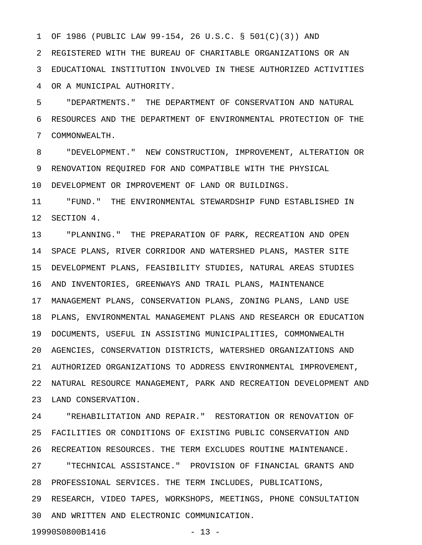1 OF 1986 (PUBLIC LAW 99-154, 26 U.S.C. § 501(C)(3)) AND

2 REGISTERED WITH THE BUREAU OF CHARITABLE ORGANIZATIONS OR AN 3 EDUCATIONAL INSTITUTION INVOLVED IN THESE AUTHORIZED ACTIVITIES 4 OR A MUNICIPAL AUTHORITY.

5 "DEPARTMENTS." THE DEPARTMENT OF CONSERVATION AND NATURAL 6 RESOURCES AND THE DEPARTMENT OF ENVIRONMENTAL PROTECTION OF THE 7 COMMONWEALTH.

8 "DEVELOPMENT." NEW CONSTRUCTION, IMPROVEMENT, ALTERATION OR 9 RENOVATION REQUIRED FOR AND COMPATIBLE WITH THE PHYSICAL

10 DEVELOPMENT OR IMPROVEMENT OF LAND OR BUILDINGS.

11 "FUND." THE ENVIRONMENTAL STEWARDSHIP FUND ESTABLISHED IN 12 SECTION 4.

13 "PLANNING." THE PREPARATION OF PARK, RECREATION AND OPEN 14 SPACE PLANS, RIVER CORRIDOR AND WATERSHED PLANS, MASTER SITE 15 DEVELOPMENT PLANS, FEASIBILITY STUDIES, NATURAL AREAS STUDIES 16 AND INVENTORIES, GREENWAYS AND TRAIL PLANS, MAINTENANCE 17 MANAGEMENT PLANS, CONSERVATION PLANS, ZONING PLANS, LAND USE 18 PLANS, ENVIRONMENTAL MANAGEMENT PLANS AND RESEARCH OR EDUCATION 19 DOCUMENTS, USEFUL IN ASSISTING MUNICIPALITIES, COMMONWEALTH 20 AGENCIES, CONSERVATION DISTRICTS, WATERSHED ORGANIZATIONS AND 21 AUTHORIZED ORGANIZATIONS TO ADDRESS ENVIRONMENTAL IMPROVEMENT, 22 NATURAL RESOURCE MANAGEMENT, PARK AND RECREATION DEVELOPMENT AND 23 LAND CONSERVATION.

24 "REHABILITATION AND REPAIR." RESTORATION OR RENOVATION OF 25 FACILITIES OR CONDITIONS OF EXISTING PUBLIC CONSERVATION AND 26 RECREATION RESOURCES. THE TERM EXCLUDES ROUTINE MAINTENANCE. 27 "TECHNICAL ASSISTANCE." PROVISION OF FINANCIAL GRANTS AND 28 PROFESSIONAL SERVICES. THE TERM INCLUDES, PUBLICATIONS, 29 RESEARCH, VIDEO TAPES, WORKSHOPS, MEETINGS, PHONE CONSULTATION 30 AND WRITTEN AND ELECTRONIC COMMUNICATION. 19990S0800B1416 - 13 -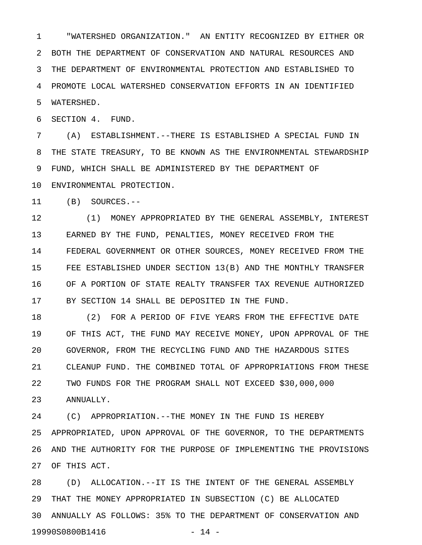1 "WATERSHED ORGANIZATION." AN ENTITY RECOGNIZED BY EITHER OR 2 BOTH THE DEPARTMENT OF CONSERVATION AND NATURAL RESOURCES AND 3 THE DEPARTMENT OF ENVIRONMENTAL PROTECTION AND ESTABLISHED TO 4 PROMOTE LOCAL WATERSHED CONSERVATION EFFORTS IN AN IDENTIFIED 5 WATERSHED.

6 SECTION 4. FUND.

7 (A) ESTABLISHMENT.--THERE IS ESTABLISHED A SPECIAL FUND IN 8 THE STATE TREASURY, TO BE KNOWN AS THE ENVIRONMENTAL STEWARDSHIP 9 FUND, WHICH SHALL BE ADMINISTERED BY THE DEPARTMENT OF 10 ENVIRONMENTAL PROTECTION.

11 (B) SOURCES.--

12 (1) MONEY APPROPRIATED BY THE GENERAL ASSEMBLY, INTEREST 13 EARNED BY THE FUND, PENALTIES, MONEY RECEIVED FROM THE 14 FEDERAL GOVERNMENT OR OTHER SOURCES, MONEY RECEIVED FROM THE 15 FEE ESTABLISHED UNDER SECTION 13(B) AND THE MONTHLY TRANSFER 16 OF A PORTION OF STATE REALTY TRANSFER TAX REVENUE AUTHORIZED 17 BY SECTION 14 SHALL BE DEPOSITED IN THE FUND.

18 (2) FOR A PERIOD OF FIVE YEARS FROM THE EFFECTIVE DATE 19 OF THIS ACT, THE FUND MAY RECEIVE MONEY, UPON APPROVAL OF THE 20 GOVERNOR, FROM THE RECYCLING FUND AND THE HAZARDOUS SITES 21 CLEANUP FUND. THE COMBINED TOTAL OF APPROPRIATIONS FROM THESE 22 TWO FUNDS FOR THE PROGRAM SHALL NOT EXCEED \$30,000,000 23 ANNUALLY.

24 (C) APPROPRIATION.--THE MONEY IN THE FUND IS HEREBY 25 APPROPRIATED, UPON APPROVAL OF THE GOVERNOR, TO THE DEPARTMENTS 26 AND THE AUTHORITY FOR THE PURPOSE OF IMPLEMENTING THE PROVISIONS 27 OF THIS ACT.

28 (D) ALLOCATION.--IT IS THE INTENT OF THE GENERAL ASSEMBLY 29 THAT THE MONEY APPROPRIATED IN SUBSECTION (C) BE ALLOCATED 30 ANNUALLY AS FOLLOWS: 35% TO THE DEPARTMENT OF CONSERVATION AND 19990S0800B1416 - 14 -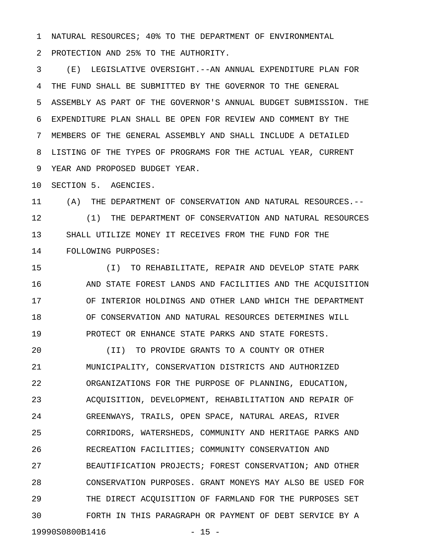1 NATURAL RESOURCES; 40% TO THE DEPARTMENT OF ENVIRONMENTAL

2 PROTECTION AND 25% TO THE AUTHORITY.

3 (E) LEGISLATIVE OVERSIGHT.--AN ANNUAL EXPENDITURE PLAN FOR 4 THE FUND SHALL BE SUBMITTED BY THE GOVERNOR TO THE GENERAL 5 ASSEMBLY AS PART OF THE GOVERNOR'S ANNUAL BUDGET SUBMISSION. THE 6 EXPENDITURE PLAN SHALL BE OPEN FOR REVIEW AND COMMENT BY THE 7 MEMBERS OF THE GENERAL ASSEMBLY AND SHALL INCLUDE A DETAILED 8 LISTING OF THE TYPES OF PROGRAMS FOR THE ACTUAL YEAR, CURRENT 9 YEAR AND PROPOSED BUDGET YEAR.

10 SECTION 5. AGENCIES.

11 (A) THE DEPARTMENT OF CONSERVATION AND NATURAL RESOURCES.-- 12 (1) THE DEPARTMENT OF CONSERVATION AND NATURAL RESOURCES 13 SHALL UTILIZE MONEY IT RECEIVES FROM THE FUND FOR THE 14 FOLLOWING PURPOSES:

15 (I) TO REHABILITATE, REPAIR AND DEVELOP STATE PARK 16 AND STATE FOREST LANDS AND FACILITIES AND THE ACQUISITION 17 OF INTERIOR HOLDINGS AND OTHER LAND WHICH THE DEPARTMENT 18 OF CONSERVATION AND NATURAL RESOURCES DETERMINES WILL 19 PROTECT OR ENHANCE STATE PARKS AND STATE FORESTS.

20 (II) TO PROVIDE GRANTS TO A COUNTY OR OTHER 21 MUNICIPALITY, CONSERVATION DISTRICTS AND AUTHORIZED 22 ORGANIZATIONS FOR THE PURPOSE OF PLANNING, EDUCATION, 23 ACQUISITION, DEVELOPMENT, REHABILITATION AND REPAIR OF 24 GREENWAYS, TRAILS, OPEN SPACE, NATURAL AREAS, RIVER 25 CORRIDORS, WATERSHEDS, COMMUNITY AND HERITAGE PARKS AND 26 RECREATION FACILITIES; COMMUNITY CONSERVATION AND 27 BEAUTIFICATION PROJECTS; FOREST CONSERVATION; AND OTHER 28 CONSERVATION PURPOSES. GRANT MONEYS MAY ALSO BE USED FOR 29 THE DIRECT ACQUISITION OF FARMLAND FOR THE PURPOSES SET 30 FORTH IN THIS PARAGRAPH OR PAYMENT OF DEBT SERVICE BY A 19990S0800B1416 - 15 -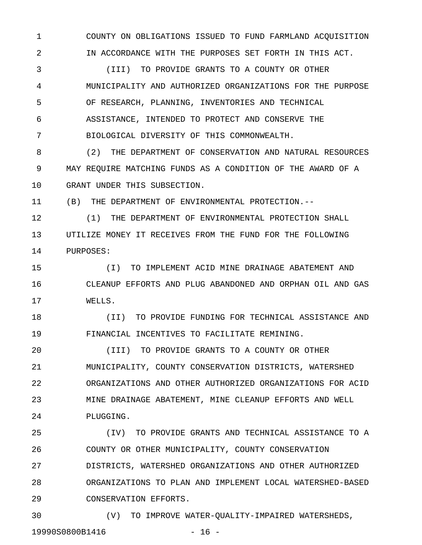1 COUNTY ON OBLIGATIONS ISSUED TO FUND FARMLAND ACQUISITION 2 IN ACCORDANCE WITH THE PURPOSES SET FORTH IN THIS ACT.

3 (III) TO PROVIDE GRANTS TO A COUNTY OR OTHER 4 MUNICIPALITY AND AUTHORIZED ORGANIZATIONS FOR THE PURPOSE 5 OF RESEARCH, PLANNING, INVENTORIES AND TECHNICAL 6 ASSISTANCE, INTENDED TO PROTECT AND CONSERVE THE 7 BIOLOGICAL DIVERSITY OF THIS COMMONWEALTH.

8 (2) THE DEPARTMENT OF CONSERVATION AND NATURAL RESOURCES 9 MAY REQUIRE MATCHING FUNDS AS A CONDITION OF THE AWARD OF A 10 GRANT UNDER THIS SUBSECTION.

11 (B) THE DEPARTMENT OF ENVIRONMENTAL PROTECTION.--

12 (1) THE DEPARTMENT OF ENVIRONMENTAL PROTECTION SHALL 13 UTILIZE MONEY IT RECEIVES FROM THE FUND FOR THE FOLLOWING 14 PURPOSES:

15 (I) TO IMPLEMENT ACID MINE DRAINAGE ABATEMENT AND 16 CLEANUP EFFORTS AND PLUG ABANDONED AND ORPHAN OIL AND GAS 17 WELLS.

18 (II) TO PROVIDE FUNDING FOR TECHNICAL ASSISTANCE AND 19 FINANCIAL INCENTIVES TO FACILITATE REMINING.

20 (III) TO PROVIDE GRANTS TO A COUNTY OR OTHER 21 MUNICIPALITY, COUNTY CONSERVATION DISTRICTS, WATERSHED 22 ORGANIZATIONS AND OTHER AUTHORIZED ORGANIZATIONS FOR ACID 23 MINE DRAINAGE ABATEMENT, MINE CLEANUP EFFORTS AND WELL 24 PLUGGING.

25 (IV) TO PROVIDE GRANTS AND TECHNICAL ASSISTANCE TO A 26 COUNTY OR OTHER MUNICIPALITY, COUNTY CONSERVATION 27 DISTRICTS, WATERSHED ORGANIZATIONS AND OTHER AUTHORIZED 28 ORGANIZATIONS TO PLAN AND IMPLEMENT LOCAL WATERSHED-BASED 29 CONSERVATION EFFORTS.

30 (V) TO IMPROVE WATER-QUALITY-IMPAIRED WATERSHEDS, 19990S0800B1416 - 16 -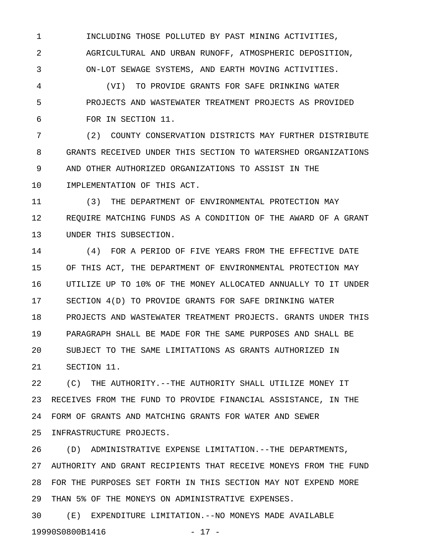1 INCLUDING THOSE POLLUTED BY PAST MINING ACTIVITIES, 2 AGRICULTURAL AND URBAN RUNOFF, ATMOSPHERIC DEPOSITION, 3 ON-LOT SEWAGE SYSTEMS, AND EARTH MOVING ACTIVITIES.

4 (VI) TO PROVIDE GRANTS FOR SAFE DRINKING WATER 5 PROJECTS AND WASTEWATER TREATMENT PROJECTS AS PROVIDED 6 FOR IN SECTION 11.

7 (2) COUNTY CONSERVATION DISTRICTS MAY FURTHER DISTRIBUTE 8 GRANTS RECEIVED UNDER THIS SECTION TO WATERSHED ORGANIZATIONS 9 AND OTHER AUTHORIZED ORGANIZATIONS TO ASSIST IN THE 10 IMPLEMENTATION OF THIS ACT.

11 (3) THE DEPARTMENT OF ENVIRONMENTAL PROTECTION MAY 12 REQUIRE MATCHING FUNDS AS A CONDITION OF THE AWARD OF A GRANT 13 UNDER THIS SUBSECTION.

14 6 (4) FOR A PERIOD OF FIVE YEARS FROM THE EFFECTIVE DATE 15 OF THIS ACT, THE DEPARTMENT OF ENVIRONMENTAL PROTECTION MAY 16 UTILIZE UP TO 10% OF THE MONEY ALLOCATED ANNUALLY TO IT UNDER 17 SECTION 4(D) TO PROVIDE GRANTS FOR SAFE DRINKING WATER 18 PROJECTS AND WASTEWATER TREATMENT PROJECTS. GRANTS UNDER THIS 19 PARAGRAPH SHALL BE MADE FOR THE SAME PURPOSES AND SHALL BE 20 SUBJECT TO THE SAME LIMITATIONS AS GRANTS AUTHORIZED IN 21 SECTION 11.

22 (C) THE AUTHORITY.--THE AUTHORITY SHALL UTILIZE MONEY IT 23 RECEIVES FROM THE FUND TO PROVIDE FINANCIAL ASSISTANCE, IN THE 24 FORM OF GRANTS AND MATCHING GRANTS FOR WATER AND SEWER 25 INFRASTRUCTURE PROJECTS.

26 (D) ADMINISTRATIVE EXPENSE LIMITATION.--THE DEPARTMENTS, 27 AUTHORITY AND GRANT RECIPIENTS THAT RECEIVE MONEYS FROM THE FUND 28 FOR THE PURPOSES SET FORTH IN THIS SECTION MAY NOT EXPEND MORE 29 THAN 5% OF THE MONEYS ON ADMINISTRATIVE EXPENSES.

30 (E) EXPENDITURE LIMITATION.--NO MONEYS MADE AVAILABLE 19990S0800B1416 - 17 -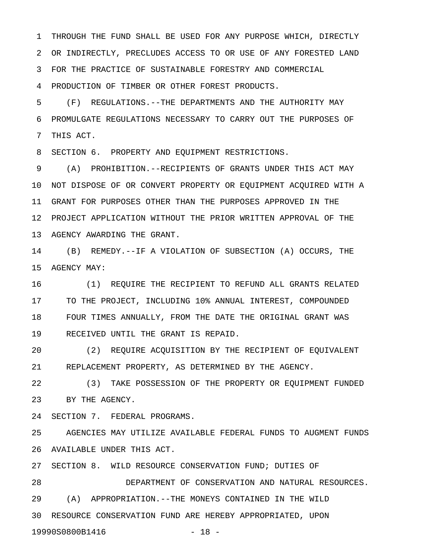1 THROUGH THE FUND SHALL BE USED FOR ANY PURPOSE WHICH, DIRECTLY 2 OR INDIRECTLY, PRECLUDES ACCESS TO OR USE OF ANY FORESTED LAND 3 FOR THE PRACTICE OF SUSTAINABLE FORESTRY AND COMMERCIAL 4 PRODUCTION OF TIMBER OR OTHER FOREST PRODUCTS.

5 (F) REGULATIONS.--THE DEPARTMENTS AND THE AUTHORITY MAY 6 PROMULGATE REGULATIONS NECESSARY TO CARRY OUT THE PURPOSES OF 7 THIS ACT.

8 SECTION 6. PROPERTY AND EQUIPMENT RESTRICTIONS.

9 (A) PROHIBITION.--RECIPIENTS OF GRANTS UNDER THIS ACT MAY 10 NOT DISPOSE OF OR CONVERT PROPERTY OR EQUIPMENT ACQUIRED WITH A 11 GRANT FOR PURPOSES OTHER THAN THE PURPOSES APPROVED IN THE 12 PROJECT APPLICATION WITHOUT THE PRIOR WRITTEN APPROVAL OF THE 13 AGENCY AWARDING THE GRANT.

14 (B) REMEDY.--IF A VIOLATION OF SUBSECTION (A) OCCURS, THE 15 AGENCY MAY:

16 (1) REQUIRE THE RECIPIENT TO REFUND ALL GRANTS RELATED 17 TO THE PROJECT, INCLUDING 10% ANNUAL INTEREST, COMPOUNDED 18 FOUR TIMES ANNUALLY, FROM THE DATE THE ORIGINAL GRANT WAS 19 RECEIVED UNTIL THE GRANT IS REPAID.

20 (2) REQUIRE ACQUISITION BY THE RECIPIENT OF EQUIVALENT 21 REPLACEMENT PROPERTY, AS DETERMINED BY THE AGENCY.

22 (3) TAKE POSSESSION OF THE PROPERTY OR EQUIPMENT FUNDED 23 BY THE AGENCY.

24 SECTION 7. FEDERAL PROGRAMS.

25 AGENCIES MAY UTILIZE AVAILABLE FEDERAL FUNDS TO AUGMENT FUNDS 26 AVAILABLE UNDER THIS ACT.

27 SECTION 8. WILD RESOURCE CONSERVATION FUND; DUTIES OF

28 DEPARTMENT OF CONSERVATION AND NATURAL RESOURCES. 29 (A) APPROPRIATION.--THE MONEYS CONTAINED IN THE WILD 30 RESOURCE CONSERVATION FUND ARE HEREBY APPROPRIATED, UPON

19990S0800B1416 - 18 -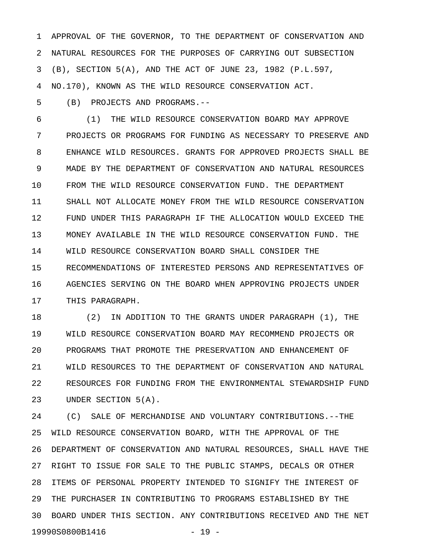1 APPROVAL OF THE GOVERNOR, TO THE DEPARTMENT OF CONSERVATION AND 2 NATURAL RESOURCES FOR THE PURPOSES OF CARRYING OUT SUBSECTION 3 (B), SECTION 5(A), AND THE ACT OF JUNE 23, 1982 (P.L.597, 4 NO.170), KNOWN AS THE WILD RESOURCE CONSERVATION ACT.

5 (B) PROJECTS AND PROGRAMS.--

6 (1) THE WILD RESOURCE CONSERVATION BOARD MAY APPROVE 7 PROJECTS OR PROGRAMS FOR FUNDING AS NECESSARY TO PRESERVE AND 8 ENHANCE WILD RESOURCES. GRANTS FOR APPROVED PROJECTS SHALL BE 9 MADE BY THE DEPARTMENT OF CONSERVATION AND NATURAL RESOURCES 10 FROM THE WILD RESOURCE CONSERVATION FUND. THE DEPARTMENT 11 SHALL NOT ALLOCATE MONEY FROM THE WILD RESOURCE CONSERVATION 12 FUND UNDER THIS PARAGRAPH IF THE ALLOCATION WOULD EXCEED THE 13 MONEY AVAILABLE IN THE WILD RESOURCE CONSERVATION FUND. THE 14 WILD RESOURCE CONSERVATION BOARD SHALL CONSIDER THE 15 RECOMMENDATIONS OF INTERESTED PERSONS AND REPRESENTATIVES OF 16 AGENCIES SERVING ON THE BOARD WHEN APPROVING PROJECTS UNDER 17 THIS PARAGRAPH.

18 (2) IN ADDITION TO THE GRANTS UNDER PARAGRAPH (1), THE 19 WILD RESOURCE CONSERVATION BOARD MAY RECOMMEND PROJECTS OR 20 PROGRAMS THAT PROMOTE THE PRESERVATION AND ENHANCEMENT OF 21 WILD RESOURCES TO THE DEPARTMENT OF CONSERVATION AND NATURAL 22 RESOURCES FOR FUNDING FROM THE ENVIRONMENTAL STEWARDSHIP FUND 23 UNDER SECTION 5(A).

24 (C) SALE OF MERCHANDISE AND VOLUNTARY CONTRIBUTIONS.--THE 25 WILD RESOURCE CONSERVATION BOARD, WITH THE APPROVAL OF THE 26 DEPARTMENT OF CONSERVATION AND NATURAL RESOURCES, SHALL HAVE THE 27 RIGHT TO ISSUE FOR SALE TO THE PUBLIC STAMPS, DECALS OR OTHER 28 ITEMS OF PERSONAL PROPERTY INTENDED TO SIGNIFY THE INTEREST OF 29 THE PURCHASER IN CONTRIBUTING TO PROGRAMS ESTABLISHED BY THE 30 BOARD UNDER THIS SECTION. ANY CONTRIBUTIONS RECEIVED AND THE NET 19990S0800B1416 - 19 -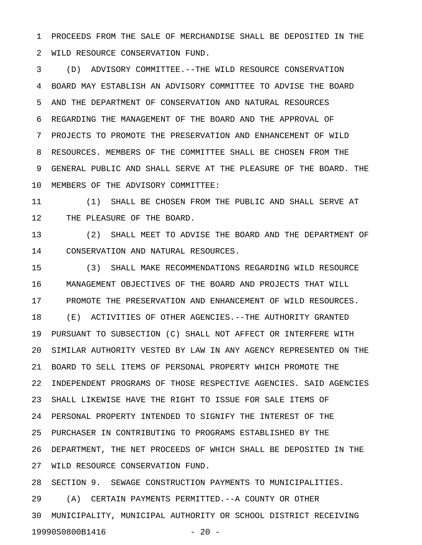1 PROCEEDS FROM THE SALE OF MERCHANDISE SHALL BE DEPOSITED IN THE 2 WILD RESOURCE CONSERVATION FUND.

3 (D) ADVISORY COMMITTEE.--THE WILD RESOURCE CONSERVATION 4 BOARD MAY ESTABLISH AN ADVISORY COMMITTEE TO ADVISE THE BOARD 5 AND THE DEPARTMENT OF CONSERVATION AND NATURAL RESOURCES 6 REGARDING THE MANAGEMENT OF THE BOARD AND THE APPROVAL OF 7 PROJECTS TO PROMOTE THE PRESERVATION AND ENHANCEMENT OF WILD 8 RESOURCES. MEMBERS OF THE COMMITTEE SHALL BE CHOSEN FROM THE 9 GENERAL PUBLIC AND SHALL SERVE AT THE PLEASURE OF THE BOARD. THE 10 MEMBERS OF THE ADVISORY COMMITTEE:

11 (1) SHALL BE CHOSEN FROM THE PUBLIC AND SHALL SERVE AT 12 THE PLEASURE OF THE BOARD.

13 (2) SHALL MEET TO ADVISE THE BOARD AND THE DEPARTMENT OF 14 CONSERVATION AND NATURAL RESOURCES.

15 (3) SHALL MAKE RECOMMENDATIONS REGARDING WILD RESOURCE 16 MANAGEMENT OBJECTIVES OF THE BOARD AND PROJECTS THAT WILL 17 PROMOTE THE PRESERVATION AND ENHANCEMENT OF WILD RESOURCES. 18 (E) ACTIVITIES OF OTHER AGENCIES.--THE AUTHORITY GRANTED 19 PURSUANT TO SUBSECTION (C) SHALL NOT AFFECT OR INTERFERE WITH 20 SIMILAR AUTHORITY VESTED BY LAW IN ANY AGENCY REPRESENTED ON THE 21 BOARD TO SELL ITEMS OF PERSONAL PROPERTY WHICH PROMOTE THE 22 INDEPENDENT PROGRAMS OF THOSE RESPECTIVE AGENCIES. SAID AGENCIES 23 SHALL LIKEWISE HAVE THE RIGHT TO ISSUE FOR SALE ITEMS OF 24 PERSONAL PROPERTY INTENDED TO SIGNIFY THE INTEREST OF THE 25 PURCHASER IN CONTRIBUTING TO PROGRAMS ESTABLISHED BY THE 26 DEPARTMENT, THE NET PROCEEDS OF WHICH SHALL BE DEPOSITED IN THE 27 WILD RESOURCE CONSERVATION FUND.

28 SECTION 9. SEWAGE CONSTRUCTION PAYMENTS TO MUNICIPALITIES. 29 (A) CERTAIN PAYMENTS PERMITTED.--A COUNTY OR OTHER 30 MUNICIPALITY, MUNICIPAL AUTHORITY OR SCHOOL DISTRICT RECEIVING 19990S0800B1416 - 20 -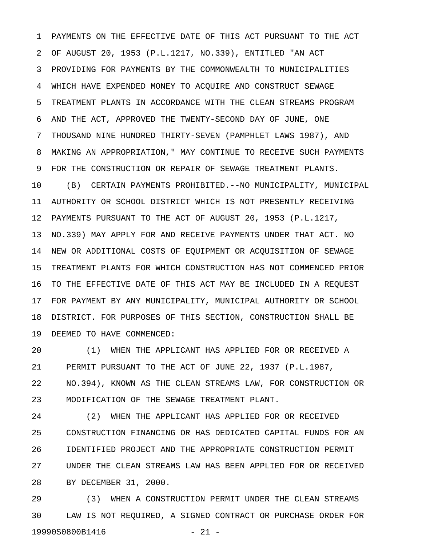1 PAYMENTS ON THE EFFECTIVE DATE OF THIS ACT PURSUANT TO THE ACT 2 OF AUGUST 20, 1953 (P.L.1217, NO.339), ENTITLED "AN ACT 3 PROVIDING FOR PAYMENTS BY THE COMMONWEALTH TO MUNICIPALITIES 4 WHICH HAVE EXPENDED MONEY TO ACQUIRE AND CONSTRUCT SEWAGE 5 TREATMENT PLANTS IN ACCORDANCE WITH THE CLEAN STREAMS PROGRAM 6 AND THE ACT, APPROVED THE TWENTY-SECOND DAY OF JUNE, ONE 7 THOUSAND NINE HUNDRED THIRTY-SEVEN (PAMPHLET LAWS 1987), AND 8 MAKING AN APPROPRIATION," MAY CONTINUE TO RECEIVE SUCH PAYMENTS 9 FOR THE CONSTRUCTION OR REPAIR OF SEWAGE TREATMENT PLANTS. 10 (B) CERTAIN PAYMENTS PROHIBITED.--NO MUNICIPALITY, MUNICIPAL 11 AUTHORITY OR SCHOOL DISTRICT WHICH IS NOT PRESENTLY RECEIVING 12 PAYMENTS PURSUANT TO THE ACT OF AUGUST 20, 1953 (P.L.1217, 13 NO.339) MAY APPLY FOR AND RECEIVE PAYMENTS UNDER THAT ACT. NO 14 NEW OR ADDITIONAL COSTS OF EQUIPMENT OR ACQUISITION OF SEWAGE 15 TREATMENT PLANTS FOR WHICH CONSTRUCTION HAS NOT COMMENCED PRIOR 16 TO THE EFFECTIVE DATE OF THIS ACT MAY BE INCLUDED IN A REQUEST 17 FOR PAYMENT BY ANY MUNICIPALITY, MUNICIPAL AUTHORITY OR SCHOOL 18 DISTRICT. FOR PURPOSES OF THIS SECTION, CONSTRUCTION SHALL BE 19 DEEMED TO HAVE COMMENCED:

20 (1) WHEN THE APPLICANT HAS APPLIED FOR OR RECEIVED A 21 PERMIT PURSUANT TO THE ACT OF JUNE 22, 1937 (P.L.1987, 22 NO.394), KNOWN AS THE CLEAN STREAMS LAW, FOR CONSTRUCTION OR 23 MODIFICATION OF THE SEWAGE TREATMENT PLANT.

24 (2) WHEN THE APPLICANT HAS APPLIED FOR OR RECEIVED 25 CONSTRUCTION FINANCING OR HAS DEDICATED CAPITAL FUNDS FOR AN 26 IDENTIFIED PROJECT AND THE APPROPRIATE CONSTRUCTION PERMIT 27 UNDER THE CLEAN STREAMS LAW HAS BEEN APPLIED FOR OR RECEIVED 28 BY DECEMBER 31, 2000.

29 (3) WHEN A CONSTRUCTION PERMIT UNDER THE CLEAN STREAMS 30 LAW IS NOT REQUIRED, A SIGNED CONTRACT OR PURCHASE ORDER FOR 19990S0800B1416 - 21 -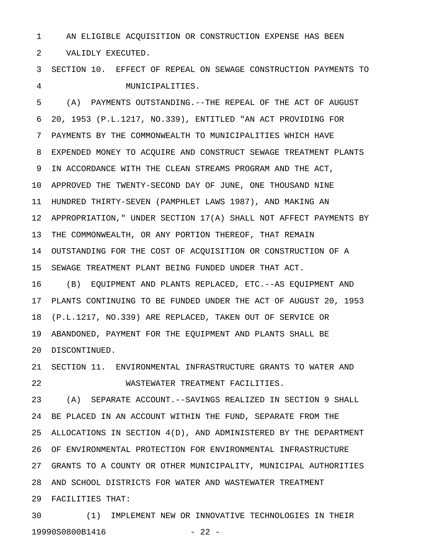1 AN ELIGIBLE ACQUISITION OR CONSTRUCTION EXPENSE HAS BEEN

2 VALIDLY EXECUTED.

3 SECTION 10. EFFECT OF REPEAL ON SEWAGE CONSTRUCTION PAYMENTS TO 4 MUNICIPALITIES.

5 (A) PAYMENTS OUTSTANDING.--THE REPEAL OF THE ACT OF AUGUST 6 20, 1953 (P.L.1217, NO.339), ENTITLED "AN ACT PROVIDING FOR 7 PAYMENTS BY THE COMMONWEALTH TO MUNICIPALITIES WHICH HAVE 8 EXPENDED MONEY TO ACQUIRE AND CONSTRUCT SEWAGE TREATMENT PLANTS 9 IN ACCORDANCE WITH THE CLEAN STREAMS PROGRAM AND THE ACT, 10 APPROVED THE TWENTY-SECOND DAY OF JUNE, ONE THOUSAND NINE 11 HUNDRED THIRTY-SEVEN (PAMPHLET LAWS 1987), AND MAKING AN 12 APPROPRIATION," UNDER SECTION 17(A) SHALL NOT AFFECT PAYMENTS BY 13 THE COMMONWEALTH, OR ANY PORTION THEREOF, THAT REMAIN 14 OUTSTANDING FOR THE COST OF ACQUISITION OR CONSTRUCTION OF A 15 SEWAGE TREATMENT PLANT BEING FUNDED UNDER THAT ACT. 16 (B) EQUIPMENT AND PLANTS REPLACED, ETC.--AS EQUIPMENT AND 17 PLANTS CONTINUING TO BE FUNDED UNDER THE ACT OF AUGUST 20, 1953 18 (P.L.1217, NO.339) ARE REPLACED, TAKEN OUT OF SERVICE OR

19 ABANDONED, PAYMENT FOR THE EQUIPMENT AND PLANTS SHALL BE

20 DISCONTINUED.

21 SECTION 11. ENVIRONMENTAL INFRASTRUCTURE GRANTS TO WATER AND 22 WASTEWATER TREATMENT FACILITIES.

23 (A) SEPARATE ACCOUNT.--SAVINGS REALIZED IN SECTION 9 SHALL 24 BE PLACED IN AN ACCOUNT WITHIN THE FUND, SEPARATE FROM THE 25 ALLOCATIONS IN SECTION 4(D), AND ADMINISTERED BY THE DEPARTMENT 26 OF ENVIRONMENTAL PROTECTION FOR ENVIRONMENTAL INFRASTRUCTURE 27 GRANTS TO A COUNTY OR OTHER MUNICIPALITY, MUNICIPAL AUTHORITIES 28 AND SCHOOL DISTRICTS FOR WATER AND WASTEWATER TREATMENT 29 FACILITIES THAT:

30 (1) IMPLEMENT NEW OR INNOVATIVE TECHNOLOGIES IN THEIR 19990S0800B1416 - 22 -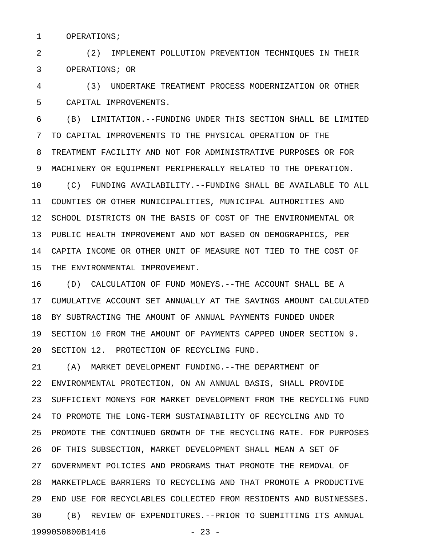1 OPERATIONS;

2 (2) IMPLEMENT POLLUTION PREVENTION TECHNIQUES IN THEIR 3 OPERATIONS; OR

4 (3) UNDERTAKE TREATMENT PROCESS MODERNIZATION OR OTHER 5 CAPITAL IMPROVEMENTS.

6 (B) LIMITATION.--FUNDING UNDER THIS SECTION SHALL BE LIMITED 7 TO CAPITAL IMPROVEMENTS TO THE PHYSICAL OPERATION OF THE 8 TREATMENT FACILITY AND NOT FOR ADMINISTRATIVE PURPOSES OR FOR 9 MACHINERY OR EQUIPMENT PERIPHERALLY RELATED TO THE OPERATION. 10 (C) FUNDING AVAILABILITY.--FUNDING SHALL BE AVAILABLE TO ALL 11 COUNTIES OR OTHER MUNICIPALITIES, MUNICIPAL AUTHORITIES AND 12 SCHOOL DISTRICTS ON THE BASIS OF COST OF THE ENVIRONMENTAL OR 13 PUBLIC HEALTH IMPROVEMENT AND NOT BASED ON DEMOGRAPHICS, PER 14 CAPITA INCOME OR OTHER UNIT OF MEASURE NOT TIED TO THE COST OF 15 THE ENVIRONMENTAL IMPROVEMENT.

16 (D) CALCULATION OF FUND MONEYS.--THE ACCOUNT SHALL BE A 17 CUMULATIVE ACCOUNT SET ANNUALLY AT THE SAVINGS AMOUNT CALCULATED 18 BY SUBTRACTING THE AMOUNT OF ANNUAL PAYMENTS FUNDED UNDER 19 SECTION 10 FROM THE AMOUNT OF PAYMENTS CAPPED UNDER SECTION 9. 20 SECTION 12. PROTECTION OF RECYCLING FUND.

21 (A) MARKET DEVELOPMENT FUNDING.--THE DEPARTMENT OF 22 ENVIRONMENTAL PROTECTION, ON AN ANNUAL BASIS, SHALL PROVIDE 23 SUFFICIENT MONEYS FOR MARKET DEVELOPMENT FROM THE RECYCLING FUND 24 TO PROMOTE THE LONG-TERM SUSTAINABILITY OF RECYCLING AND TO 25 PROMOTE THE CONTINUED GROWTH OF THE RECYCLING RATE. FOR PURPOSES 26 OF THIS SUBSECTION, MARKET DEVELOPMENT SHALL MEAN A SET OF 27 GOVERNMENT POLICIES AND PROGRAMS THAT PROMOTE THE REMOVAL OF 28 MARKETPLACE BARRIERS TO RECYCLING AND THAT PROMOTE A PRODUCTIVE 29 END USE FOR RECYCLABLES COLLECTED FROM RESIDENTS AND BUSINESSES. 30 (B) REVIEW OF EXPENDITURES.--PRIOR TO SUBMITTING ITS ANNUAL 19990S0800B1416 - 23 -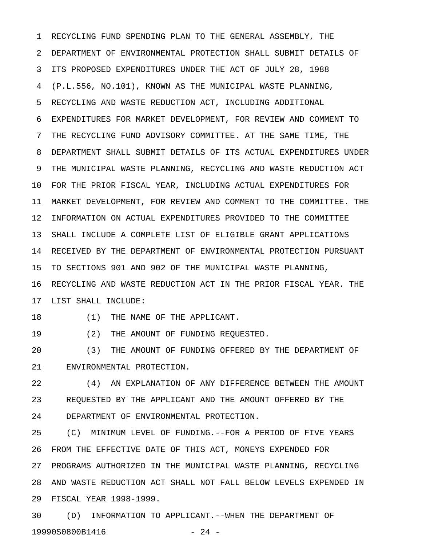1 RECYCLING FUND SPENDING PLAN TO THE GENERAL ASSEMBLY, THE 2 DEPARTMENT OF ENVIRONMENTAL PROTECTION SHALL SUBMIT DETAILS OF 3 ITS PROPOSED EXPENDITURES UNDER THE ACT OF JULY 28, 1988 4 (P.L.556, NO.101), KNOWN AS THE MUNICIPAL WASTE PLANNING, 5 RECYCLING AND WASTE REDUCTION ACT, INCLUDING ADDITIONAL 6 EXPENDITURES FOR MARKET DEVELOPMENT, FOR REVIEW AND COMMENT TO 7 THE RECYCLING FUND ADVISORY COMMITTEE. AT THE SAME TIME, THE 8 DEPARTMENT SHALL SUBMIT DETAILS OF ITS ACTUAL EXPENDITURES UNDER 9 THE MUNICIPAL WASTE PLANNING, RECYCLING AND WASTE REDUCTION ACT 10 FOR THE PRIOR FISCAL YEAR, INCLUDING ACTUAL EXPENDITURES FOR 11 MARKET DEVELOPMENT, FOR REVIEW AND COMMENT TO THE COMMITTEE. THE 12 INFORMATION ON ACTUAL EXPENDITURES PROVIDED TO THE COMMITTEE 13 SHALL INCLUDE A COMPLETE LIST OF ELIGIBLE GRANT APPLICATIONS 14 RECEIVED BY THE DEPARTMENT OF ENVIRONMENTAL PROTECTION PURSUANT 15 TO SECTIONS 901 AND 902 OF THE MUNICIPAL WASTE PLANNING, 16 RECYCLING AND WASTE REDUCTION ACT IN THE PRIOR FISCAL YEAR. THE 17 LIST SHALL INCLUDE:

18 (1) THE NAME OF THE APPLICANT.

19 (2) THE AMOUNT OF FUNDING REQUESTED.

20 (3) THE AMOUNT OF FUNDING OFFERED BY THE DEPARTMENT OF 21 ENVIRONMENTAL PROTECTION.

22 (4) AN EXPLANATION OF ANY DIFFERENCE BETWEEN THE AMOUNT 23 REQUESTED BY THE APPLICANT AND THE AMOUNT OFFERED BY THE 24 DEPARTMENT OF ENVIRONMENTAL PROTECTION.

25 (C) MINIMUM LEVEL OF FUNDING.--FOR A PERIOD OF FIVE YEARS 26 FROM THE EFFECTIVE DATE OF THIS ACT, MONEYS EXPENDED FOR 27 PROGRAMS AUTHORIZED IN THE MUNICIPAL WASTE PLANNING, RECYCLING 28 AND WASTE REDUCTION ACT SHALL NOT FALL BELOW LEVELS EXPENDED IN 29 FISCAL YEAR 1998-1999.

30 (D) INFORMATION TO APPLICANT.--WHEN THE DEPARTMENT OF 19990S0800B1416 - 24 -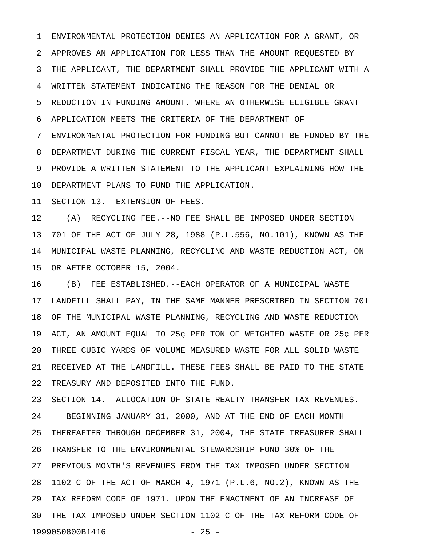1 ENVIRONMENTAL PROTECTION DENIES AN APPLICATION FOR A GRANT, OR 2 APPROVES AN APPLICATION FOR LESS THAN THE AMOUNT REQUESTED BY 3 THE APPLICANT, THE DEPARTMENT SHALL PROVIDE THE APPLICANT WITH A 4 WRITTEN STATEMENT INDICATING THE REASON FOR THE DENIAL OR 5 REDUCTION IN FUNDING AMOUNT. WHERE AN OTHERWISE ELIGIBLE GRANT 6 APPLICATION MEETS THE CRITERIA OF THE DEPARTMENT OF 7 ENVIRONMENTAL PROTECTION FOR FUNDING BUT CANNOT BE FUNDED BY THE 8 DEPARTMENT DURING THE CURRENT FISCAL YEAR, THE DEPARTMENT SHALL 9 PROVIDE A WRITTEN STATEMENT TO THE APPLICANT EXPLAINING HOW THE

10 DEPARTMENT PLANS TO FUND THE APPLICATION.

11 SECTION 13. EXTENSION OF FEES.

12 (A) RECYCLING FEE.--NO FEE SHALL BE IMPOSED UNDER SECTION 13 701 OF THE ACT OF JULY 28, 1988 (P.L.556, NO.101), KNOWN AS THE 14 MUNICIPAL WASTE PLANNING, RECYCLING AND WASTE REDUCTION ACT, ON 15 OR AFTER OCTOBER 15, 2004.

16 (B) FEE ESTABLISHED.--EACH OPERATOR OF A MUNICIPAL WASTE 17 LANDFILL SHALL PAY, IN THE SAME MANNER PRESCRIBED IN SECTION 701 18 OF THE MUNICIPAL WASTE PLANNING, RECYCLING AND WASTE REDUCTION 19 ACT, AN AMOUNT EQUAL TO 25ç PER TON OF WEIGHTED WASTE OR 25ç PER 20 THREE CUBIC YARDS OF VOLUME MEASURED WASTE FOR ALL SOLID WASTE 21 RECEIVED AT THE LANDFILL. THESE FEES SHALL BE PAID TO THE STATE 22 TREASURY AND DEPOSITED INTO THE FUND.

23 SECTION 14. ALLOCATION OF STATE REALTY TRANSFER TAX REVENUES. 24 BEGINNING JANUARY 31, 2000, AND AT THE END OF EACH MONTH 25 THEREAFTER THROUGH DECEMBER 31, 2004, THE STATE TREASURER SHALL 26 TRANSFER TO THE ENVIRONMENTAL STEWARDSHIP FUND 30% OF THE 27 PREVIOUS MONTH'S REVENUES FROM THE TAX IMPOSED UNDER SECTION 28 1102-C OF THE ACT OF MARCH 4, 1971 (P.L.6, NO.2), KNOWN AS THE 29 TAX REFORM CODE OF 1971. UPON THE ENACTMENT OF AN INCREASE OF 30 THE TAX IMPOSED UNDER SECTION 1102-C OF THE TAX REFORM CODE OF 19990S0800B1416 - 25 -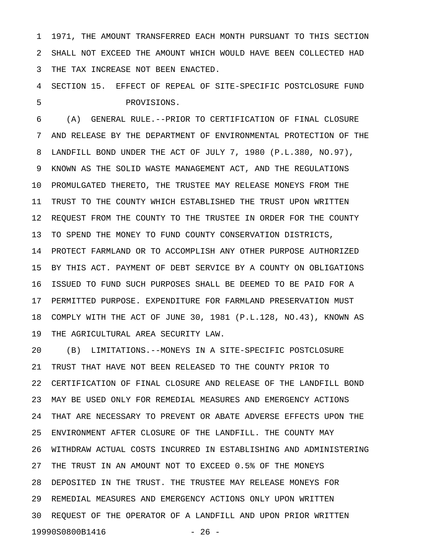1 1971, THE AMOUNT TRANSFERRED EACH MONTH PURSUANT TO THIS SECTION 2 SHALL NOT EXCEED THE AMOUNT WHICH WOULD HAVE BEEN COLLECTED HAD 3 THE TAX INCREASE NOT BEEN ENACTED.

4 SECTION 15. EFFECT OF REPEAL OF SITE-SPECIFIC POSTCLOSURE FUND 5 PROVISIONS.

6 (A) GENERAL RULE.--PRIOR TO CERTIFICATION OF FINAL CLOSURE 7 AND RELEASE BY THE DEPARTMENT OF ENVIRONMENTAL PROTECTION OF THE 8 LANDFILL BOND UNDER THE ACT OF JULY 7, 1980 (P.L.380, NO.97), 9 KNOWN AS THE SOLID WASTE MANAGEMENT ACT, AND THE REGULATIONS 10 PROMULGATED THERETO, THE TRUSTEE MAY RELEASE MONEYS FROM THE 11 TRUST TO THE COUNTY WHICH ESTABLISHED THE TRUST UPON WRITTEN 12 REQUEST FROM THE COUNTY TO THE TRUSTEE IN ORDER FOR THE COUNTY 13 TO SPEND THE MONEY TO FUND COUNTY CONSERVATION DISTRICTS, 14 PROTECT FARMLAND OR TO ACCOMPLISH ANY OTHER PURPOSE AUTHORIZED 15 BY THIS ACT. PAYMENT OF DEBT SERVICE BY A COUNTY ON OBLIGATIONS 16 ISSUED TO FUND SUCH PURPOSES SHALL BE DEEMED TO BE PAID FOR A 17 PERMITTED PURPOSE. EXPENDITURE FOR FARMLAND PRESERVATION MUST 18 COMPLY WITH THE ACT OF JUNE 30, 1981 (P.L.128, NO.43), KNOWN AS

19 THE AGRICULTURAL AREA SECURITY LAW.

20 (B) LIMITATIONS.--MONEYS IN A SITE-SPECIFIC POSTCLOSURE 21 TRUST THAT HAVE NOT BEEN RELEASED TO THE COUNTY PRIOR TO 22 CERTIFICATION OF FINAL CLOSURE AND RELEASE OF THE LANDFILL BOND 23 MAY BE USED ONLY FOR REMEDIAL MEASURES AND EMERGENCY ACTIONS 24 THAT ARE NECESSARY TO PREVENT OR ABATE ADVERSE EFFECTS UPON THE 25 ENVIRONMENT AFTER CLOSURE OF THE LANDFILL. THE COUNTY MAY 26 WITHDRAW ACTUAL COSTS INCURRED IN ESTABLISHING AND ADMINISTERING 27 THE TRUST IN AN AMOUNT NOT TO EXCEED 0.5% OF THE MONEYS 28 DEPOSITED IN THE TRUST. THE TRUSTEE MAY RELEASE MONEYS FOR 29 REMEDIAL MEASURES AND EMERGENCY ACTIONS ONLY UPON WRITTEN 30 REQUEST OF THE OPERATOR OF A LANDFILL AND UPON PRIOR WRITTEN 19990S0800B1416 - 26 -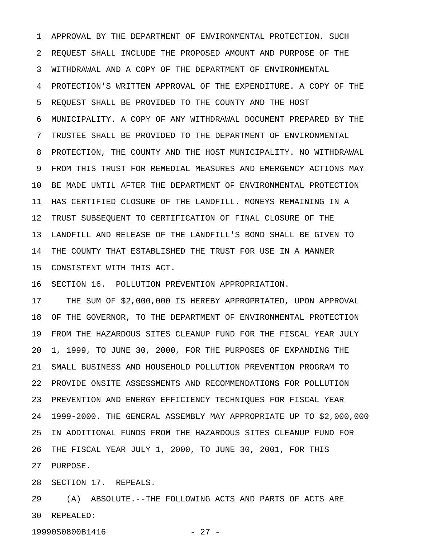1 APPROVAL BY THE DEPARTMENT OF ENVIRONMENTAL PROTECTION. SUCH 2 REQUEST SHALL INCLUDE THE PROPOSED AMOUNT AND PURPOSE OF THE 3 WITHDRAWAL AND A COPY OF THE DEPARTMENT OF ENVIRONMENTAL 4 PROTECTION'S WRITTEN APPROVAL OF THE EXPENDITURE. A COPY OF THE 5 REQUEST SHALL BE PROVIDED TO THE COUNTY AND THE HOST 6 MUNICIPALITY. A COPY OF ANY WITHDRAWAL DOCUMENT PREPARED BY THE 7 TRUSTEE SHALL BE PROVIDED TO THE DEPARTMENT OF ENVIRONMENTAL 8 PROTECTION, THE COUNTY AND THE HOST MUNICIPALITY. NO WITHDRAWAL 9 FROM THIS TRUST FOR REMEDIAL MEASURES AND EMERGENCY ACTIONS MAY 10 BE MADE UNTIL AFTER THE DEPARTMENT OF ENVIRONMENTAL PROTECTION 11 HAS CERTIFIED CLOSURE OF THE LANDFILL. MONEYS REMAINING IN A 12 TRUST SUBSEQUENT TO CERTIFICATION OF FINAL CLOSURE OF THE 13 LANDFILL AND RELEASE OF THE LANDFILL'S BOND SHALL BE GIVEN TO 14 THE COUNTY THAT ESTABLISHED THE TRUST FOR USE IN A MANNER 15 CONSISTENT WITH THIS ACT.

16 SECTION 16. POLLUTION PREVENTION APPROPRIATION.

17 THE SUM OF \$2,000,000 IS HEREBY APPROPRIATED, UPON APPROVAL 18 OF THE GOVERNOR, TO THE DEPARTMENT OF ENVIRONMENTAL PROTECTION 19 FROM THE HAZARDOUS SITES CLEANUP FUND FOR THE FISCAL YEAR JULY 20 1, 1999, TO JUNE 30, 2000, FOR THE PURPOSES OF EXPANDING THE 21 SMALL BUSINESS AND HOUSEHOLD POLLUTION PREVENTION PROGRAM TO 22 PROVIDE ONSITE ASSESSMENTS AND RECOMMENDATIONS FOR POLLUTION 23 PREVENTION AND ENERGY EFFICIENCY TECHNIQUES FOR FISCAL YEAR 24 1999-2000. THE GENERAL ASSEMBLY MAY APPROPRIATE UP TO \$2,000,000 25 IN ADDITIONAL FUNDS FROM THE HAZARDOUS SITES CLEANUP FUND FOR 26 THE FISCAL YEAR JULY 1, 2000, TO JUNE 30, 2001, FOR THIS 27 PURPOSE.

28 SECTION 17. REPEALS.

29 (A) ABSOLUTE.--THE FOLLOWING ACTS AND PARTS OF ACTS ARE 30 REPEALED:

19990S0800B1416 - 27 -